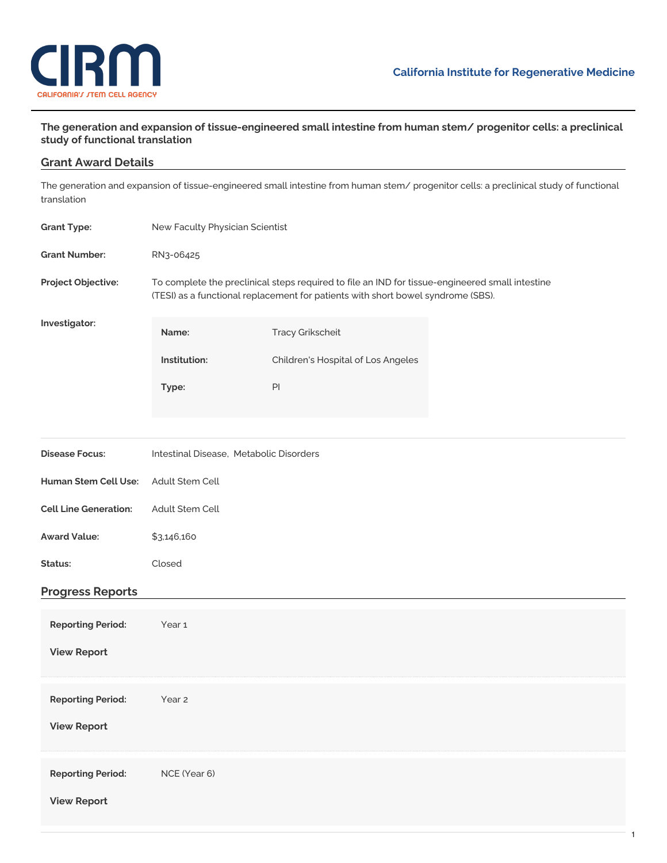

## **The generation and expansion of tissue-engineered small intestine from human stem/ progenitor cells: a preclinical study of functional translation**

## **Grant Award Details**

The generation and expansion of tissue-engineered small intestine from human stem/ progenitor cells: a preclinical study of functional translation

| <b>Grant Type:</b>           | New Faculty Physician Scientist                                                                                                                                                     |                                    |  |
|------------------------------|-------------------------------------------------------------------------------------------------------------------------------------------------------------------------------------|------------------------------------|--|
| <b>Grant Number:</b>         | RN3-06425                                                                                                                                                                           |                                    |  |
| Project Objective:           | To complete the preclinical steps required to file an IND for tissue-engineered small intestine<br>(TESI) as a functional replacement for patients with short bowel syndrome (SBS). |                                    |  |
| Investigator:                | Name:                                                                                                                                                                               | <b>Tracy Grikscheit</b>            |  |
|                              | Institution:                                                                                                                                                                        | Children's Hospital of Los Angeles |  |
|                              | Type:                                                                                                                                                                               | PI                                 |  |
|                              |                                                                                                                                                                                     |                                    |  |
| <b>Disease Focus:</b>        | Intestinal Disease, Metabolic Disorders                                                                                                                                             |                                    |  |
| Human Stem Cell Use:         | Adult Stem Cell                                                                                                                                                                     |                                    |  |
| <b>Cell Line Generation:</b> | Adult Stem Cell                                                                                                                                                                     |                                    |  |
| <b>Award Value:</b>          | \$3,146,160                                                                                                                                                                         |                                    |  |
| Status:                      | Closed                                                                                                                                                                              |                                    |  |
| <b>Progress Reports</b>      |                                                                                                                                                                                     |                                    |  |
| <b>Reporting Period:</b>     | Year 1                                                                                                                                                                              |                                    |  |
| <b>View Report</b>           |                                                                                                                                                                                     |                                    |  |
| <b>Reporting Period:</b>     | Year <sub>2</sub>                                                                                                                                                                   |                                    |  |
| <b>View Report</b>           |                                                                                                                                                                                     |                                    |  |
| <b>Reporting Period:</b>     | NCE (Year 6)                                                                                                                                                                        |                                    |  |
| <b>View Report</b>           |                                                                                                                                                                                     |                                    |  |